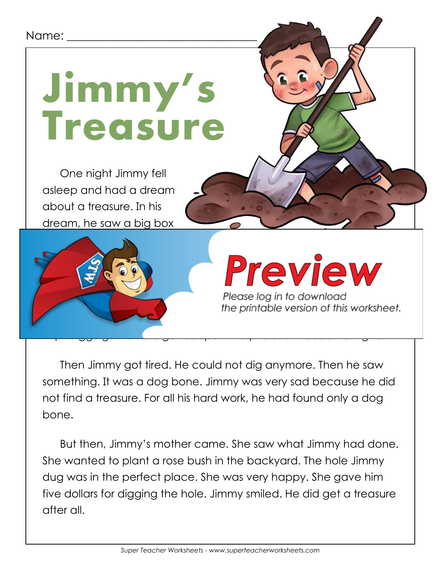## Name:



One night Jimmy fell asleep and had a dream about a treasure. In his dream, he saw a big box



## Preview

Please log in to download the printable version of this worksheet.

Then Jimmy got tired. He could not dig anymore. Then he saw something. It was a dog bone. Jimmy was very sad because he did not find a treasure. For all his hard work, he had found only a dog bone.

But then, Jimmy's mother came. She saw what Jimmy had done. She wanted to plant a rose bush in the backyard. The hole Jimmy dug was in the perfect place. She was very happy. She gave him five dollars for digging the hole. Jimmy smiled. He did get a treasure after all.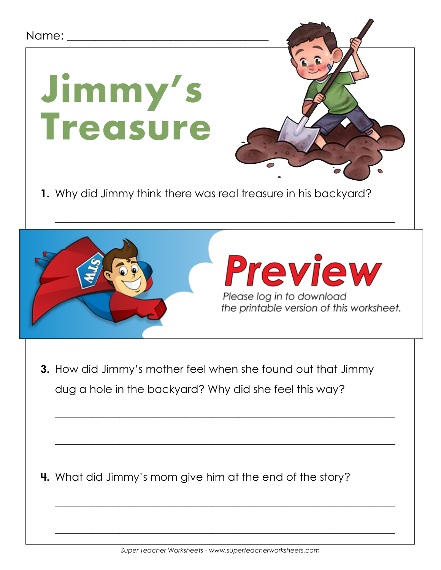## Name:

**Jimmy's** 

**Treasure**





\_\_\_\_\_\_\_\_\_\_\_\_\_\_\_\_\_\_\_\_\_\_\_\_\_\_\_\_\_\_\_\_\_\_\_\_\_\_\_\_\_\_\_\_\_\_\_\_\_\_\_\_\_\_\_\_\_\_\_\_\_\_\_

**3.** How did Jimmy's mother feel when she found out that Jimmy dug a hole in the backyard? Why did she feel this way?

\_\_\_\_\_\_\_\_\_\_\_\_\_\_\_\_\_\_\_\_\_\_\_\_\_\_\_\_\_\_\_\_\_\_\_\_\_\_\_\_\_\_\_\_\_\_\_\_\_\_\_\_\_\_\_\_\_\_\_\_\_\_\_

\_\_\_\_\_\_\_\_\_\_\_\_\_\_\_\_\_\_\_\_\_\_\_\_\_\_\_\_\_\_\_\_\_\_\_\_\_\_\_\_\_\_\_\_\_\_\_\_\_\_\_\_\_\_\_\_\_\_\_\_\_\_\_

\_\_\_\_\_\_\_\_\_\_\_\_\_\_\_\_\_\_\_\_\_\_\_\_\_\_\_\_\_\_\_\_\_\_\_\_\_\_\_\_\_\_\_\_\_\_\_\_\_\_\_\_\_\_\_\_\_\_\_\_\_\_\_

\_\_\_\_\_\_\_\_\_\_\_\_\_\_\_\_\_\_\_\_\_\_\_\_\_\_\_\_\_\_\_\_\_\_\_\_\_\_\_\_\_\_\_\_\_\_\_\_\_\_\_\_\_\_\_\_\_\_\_\_\_\_\_

**4.** What did Jimmy's mom give him at the end of the story?